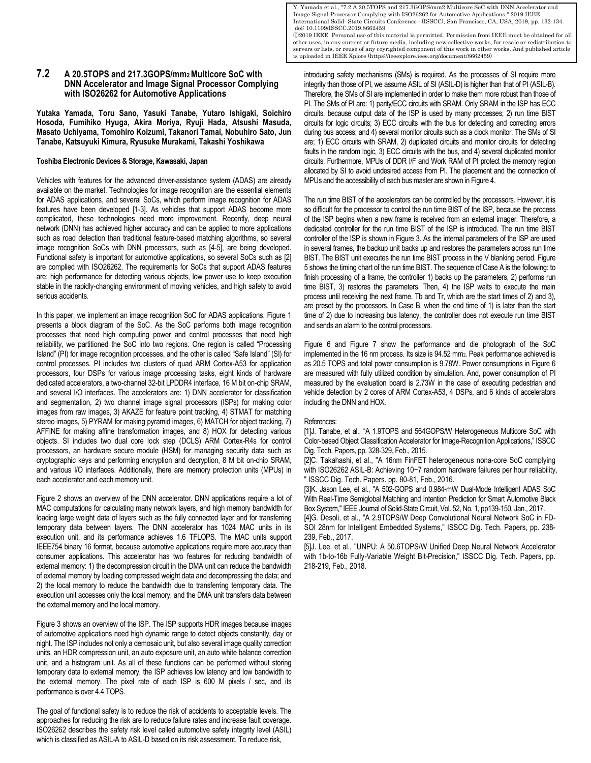**7.2 A 20.5TOPS and 217.3GOPS/mm2 Multicore SoC with DNN Accelerator and Image Signal Processor Complying with ISO26262 for Automotive Applications**

**Yutaka Yamada, Toru Sano, Yasuki Tanabe, Yutaro Ishigaki, Soichiro Hosoda, Fumihiko Hyuga, Akira Moriya, Ryuji Hada, Atsushi Masuda, Masato Uchiyama, Tomohiro Koizumi, Takanori Tamai, Nobuhiro Sato, Jun Tanabe, Katsuyuki Kimura, Ryusuke Murakami, Takashi Yoshikawa** 

## **Toshiba Electronic Devices & Storage, Kawasaki, Japan**

Vehicles with features for the advanced driver-assistance system (ADAS) are already available on the market. Technologies for image recognition are the essential elements for ADAS applications, and several SoCs, which perform image recognition for ADAS features have been developed [1-3]. As vehicles that support ADAS become more complicated, these technologies need more improvement. Recently, deep neural network (DNN) has achieved higher accuracy and can be applied to more applications such as road detection than traditional feature-based matching algorithms, so several image recognition SoCs with DNN processors, such as [4-5], are being developed. Functional safety is important for automotive applications, so several SoCs such as [2] are complied with ISO26262. The requirements for SoCs that support ADAS features are: high performance for detecting various objects, low power use to keep execution stable in the rapidly-changing environment of moving vehicles, and high safety to avoid serious accidents.

In this paper, we implement an image recognition SoC for ADAS applications. Figure 1 presents a block diagram of the SoC. As the SoC performs both image recognition processes that need high computing power and control processes that need high reliability, we partitioned the SoC into two regions. One region is called "Processing Island" (PI) for image recognition processes, and the other is called "Safe Island" (SI) for control processes. PI includes two clusters of quad ARM Cortex-A53 for application processors, four DSPs for various image processing tasks, eight kinds of hardware dedicated accelerators, a two-channel 32-bit LPDDR4 interface, 16 M bit on-chip SRAM, and several I/O interfaces. The accelerators are: 1) DNN accelerator for classification and segmentation, 2) two channel image signal processors (ISPs) for making color images from raw images, 3) AKAZE for feature point tracking, 4) STMAT for matching stereo images, 5) PYRAM for making pyramid images, 6) MATCH for object tracking, 7) AFFINE for making affine transformation images, and 8) HOX for detecting various objects. SI includes two dual core lock step (DCLS) ARM Cortex-R4s for control processors, an hardware secure module (HSM) for managing security data such as cryptographic keys and performing encryption and decryption, 8 M bit on-chip SRAM, and various I/O interfaces. Additionally, there are memory protection units (MPUs) in each accelerator and each memory unit.

Figure 2 shows an overview of the DNN accelerator. DNN applications require a lot of MAC computations for calculating many network layers, and high memory bandwidth for loading large weight data of layers such as the fully connected layer and for transferring temporary data between layers. The DNN accelerator has 1024 MAC units in its execution unit, and its performance achieves 1.6 TFLOPS. The MAC units support IEEE754 binary 16 format, because automotive applications require more accuracy than consumer applications. This accelerator has two features for reducing bandwidth of external memory: 1) the decompression circuit in the DMA unit can reduce the bandwidth of external memory by loading compressed weight data and decompressing the data; and 2) the local memory to reduce the bandwidth due to transferring temporary data. The execution unit accesses only the local memory, and the DMA unit transfers data between the external memory and the local memory.

Figure 3 shows an overview of the ISP. The ISP supports HDR images because images of automotive applications need high dynamic range to detect objects constantly, day or night. The ISP includes not only a demosaic unit, but also several image quality correction units, an HDR compression unit, an auto exposure unit, an auto white balance correction unit, and a histogram unit. As all of these functions can be performed without storing temporary data to external memory, the ISP achieves low latency and low bandwidth to the external memory. The pixel rate of each ISP is 600 M pixels / sec, and its performance is over 4.4 TOPS.

The goal of functional safety is to reduce the risk of accidents to acceptable levels. The approaches for reducing the risk are to reduce failure rates and increase fault coverage. ISO26262 describes the safety risk level called automotive safety integrity level (ASIL) which is classified as ASIL-A to ASIL-D based on its risk assessment. To reduce risk,

Y. Yamada et al., "7.2 A 20.5TOPS and 217.3GOPS/mm2 Multicore SoC with DNN Accelerator and Image Signal Processor Complying with ISO26262 for Automotive Applications," 2019 IEEE International Solid- State Circuits Conference - (ISSCC), San Francisco, CA, USA, 2019, pp. 132-134. doi: 10.1109/ISSCC.2019.8662459 Ⓒ2019 IEEE. Personal use of this material is permitted. Permission from IEEE must be obtained for all other uses, in any current or future media, including new collective works, for resale or redistribution to servers or lists, or reuse of any coyrighted component of this work in other works. And published article is uploaded in IEEE Xplore [\(https://ieeexplore.ieee.org/document/8662459\)](https://ieeexplore.ieee.org/document/8662459)

introducing safety mechanisms (SMs) is required. As the processes of SI require more integrity than those of PI, we assume ASIL of SI (ASIL-D) is higher than that of PI (ASIL-B). Therefore, the SMs of SI are implemented in order to make them more robust than those of PI. The SMs of PI are: 1) parity/ECC circuits with SRAM. Only SRAM in the ISP has ECC circuits, because output data of the ISP is used by many processes; 2) run time BIST circuits for logic circuits; 3) ECC circuits with the bus for detecting and correcting errors during bus access; and 4) several monitor circuits such as a clock monitor. The SMs of SI are; 1) ECC circuits with SRAM, 2) duplicated circuits and monitor circuits for detecting faults in the random logic, 3) ECC circuits with the bus, and 4) several duplicated monitor circuits. Furthermore, MPUs of DDR I/F and Work RAM of PI protect the memory region allocated by SI to avoid undesired access from PI. The placement and the connection of MPUs and the accessibility of each bus master are shown in Figure 4.

The run time BIST of the accelerators can be controlled by the processors. However, it is so difficult for the processor to control the run time BIST of the ISP, because the process of the ISP begins when a new frame is received from an external imager. Therefore, a dedicated controller for the run time BIST of the ISP is introduced. The run time BIST controller of the ISP is shown in Figure 3. As the internal parameters of the ISP are used in several frames, the backup unit backs up and restores the parameters across run time BIST. The BIST unit executes the run time BIST process in the V blanking period. Figure 5 shows the timing chart of the run time BIST. The sequence of Case A is the following: to finish processing of a frame, the controller 1) backs up the parameters, 2) performs run time BIST, 3) restores the parameters. Then, 4) the ISP waits to execute the main process until receiving the next frame. Tb and Tr, which are the start times of 2) and 3), are preset by the processors. In Case B, when the end time of 1) is later than the start time of 2) due to increasing bus latency, the controller does not execute run time BIST and sends an alarm to the control processors.

Figure 6 and Figure 7 show the performance and die photograph of the SoC implemented in the 16 nm process. Its size is 94.52 mm<sub>2</sub>. Peak performance achieved is as 20.5 TOPS and total power consumption is 9.78W. Power consumptions in Figure 6 are measured with fully utilized condition by simulation. And, power consumption of PI measured by the evaluation board is 2.73W in the case of executing pedestrian and vehicle detection by 2 cores of ARM Cortex-A53, 4 DSPs, and 6 kinds of accelerators including the DNN and HOX.

## References:

[1]J. Tanabe, et al., "A 1.9TOPS and 564GOPS/W Heterogeneous Multicore SoC with Color-based Object Classification Accelerator for Image-Recognition Applications," ISSCC Dig. Tech. Papers, pp. 328-329, Feb., 2015.

[2]C. Takahashi, et al., "A 16nm FinFET heterogeneous nona-core SoC complying with ISO26262 ASIL-B: Achieving 10−7 random hardware failures per hour reliability, " ISSCC Dig. Tech. Papers. pp. 80-81, Feb., 2016.

[3]K. Jason Lee, et al., "A 502-GOPS and 0.984-mW Dual-Mode Intelligent ADAS SoC With Real-Time Semiglobal Matching and Intention Prediction for Smart Automotive Black Box System," IEEE Journal of Solid-State Circuit, Vol. 52, No. 1, pp139-150, Jan., 2017.

[4]G. Desoli, et al., "A 2.9TOPS/W Deep Convolutional Neural Network SoC in FD-SOI 28nm for Intelligent Embedded Systems," ISSCC Dig. Tech. Papers, pp. 238- 239, Feb., 2017.

[5]J. Lee, et al., "UNPU: A 50.6TOPS/W Unified Deep Neural Network Accelerator with 1b-to-16b Fully-Variable Weight Bit-Precision," ISSCC Dig. Tech. Papers, pp. 218-219, Feb., 2018.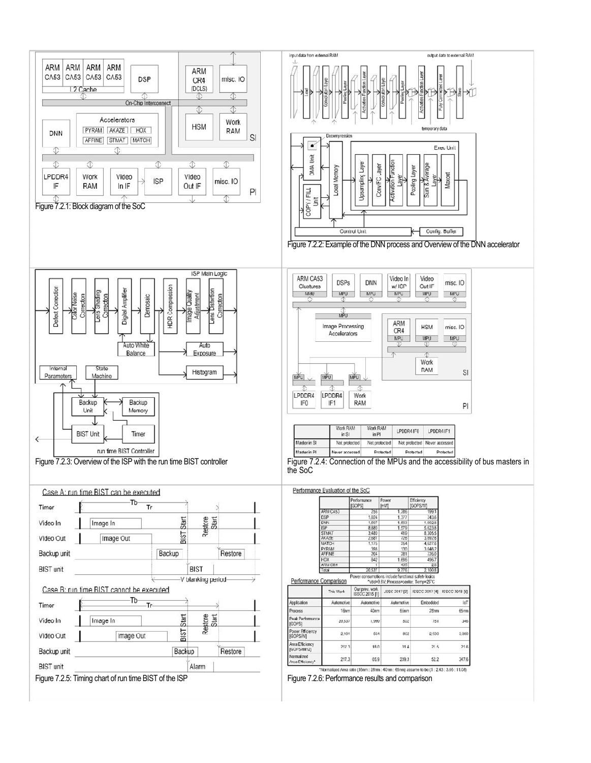